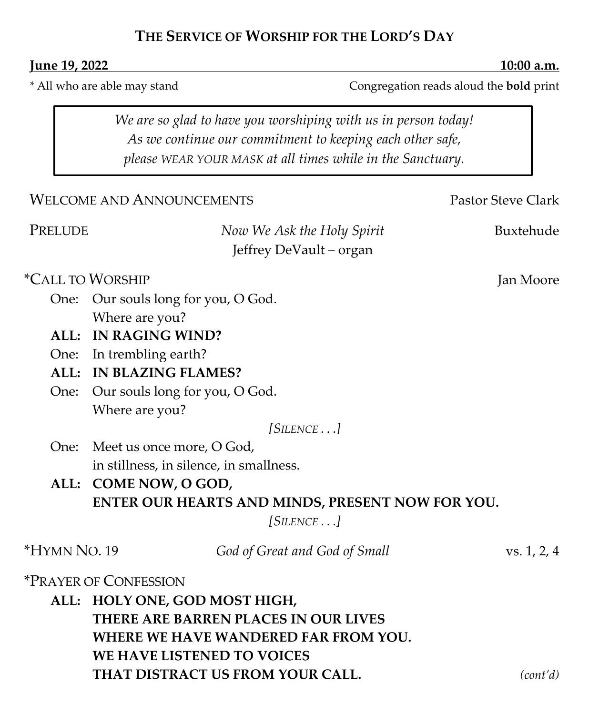## **THE SERVICE OF WORSHIP FOR THE LORD'S DAY**

#### **Iune 19, 2022 10:00 a.m.**

*\** All who are able may stand Congregation reads aloud the **bold** print

*We are so glad to have you worshiping with us in person today! As we continue our commitment to keeping each other safe, please WEAR YOUR MASK at all times while in the Sanctuary.*

|                                      | <b>WELCOME AND ANNOUNCEMENTS</b>                      | Pastor Steve Clark |  |  |  |
|--------------------------------------|-------------------------------------------------------|--------------------|--|--|--|
| PRELUDE                              | Now We Ask the Holy Spirit<br>Jeffrey DeVault - organ | Buxtehude          |  |  |  |
| <i>*CALL TO WORSHIP</i>              |                                                       | Jan Moore          |  |  |  |
| One:                                 | Our souls long for you, O God.                        |                    |  |  |  |
|                                      | Where are you?                                        |                    |  |  |  |
|                                      | ALL: IN RAGING WIND?                                  |                    |  |  |  |
|                                      | One: In trembling earth?                              |                    |  |  |  |
|                                      | ALL: IN BLAZING FLAMES?                               |                    |  |  |  |
|                                      | One: Our souls long for you, O God.                   |                    |  |  |  |
|                                      | Where are you?                                        |                    |  |  |  |
|                                      | $[SILENCE \dots]$                                     |                    |  |  |  |
|                                      | One: Meet us once more, O God,                        |                    |  |  |  |
|                                      | in stillness, in silence, in smallness.               |                    |  |  |  |
|                                      | ALL: COME NOW, O GOD,                                 |                    |  |  |  |
|                                      | ENTER OUR HEARTS AND MINDS, PRESENT NOW FOR YOU.      |                    |  |  |  |
|                                      | $[SILENCE \dots]$                                     |                    |  |  |  |
| *HYMN NO. 19                         | God of Great and God of Small                         | vs. 1, 2, 4        |  |  |  |
|                                      | <i><b>*PRAYER OF CONFESSION</b></i>                   |                    |  |  |  |
| ALL: HOLY ONE, GOD MOST HIGH,        |                                                       |                    |  |  |  |
|                                      | THERE ARE BARREN PLACES IN OUR LIVES                  |                    |  |  |  |
| WHERE WE HAVE WANDERED FAR FROM YOU. |                                                       |                    |  |  |  |
|                                      | WE HAVE LISTENED TO VOICES                            |                    |  |  |  |
|                                      | THAT DISTRACT US FROM YOUR CALL.                      | $(\text{cont}'d)$  |  |  |  |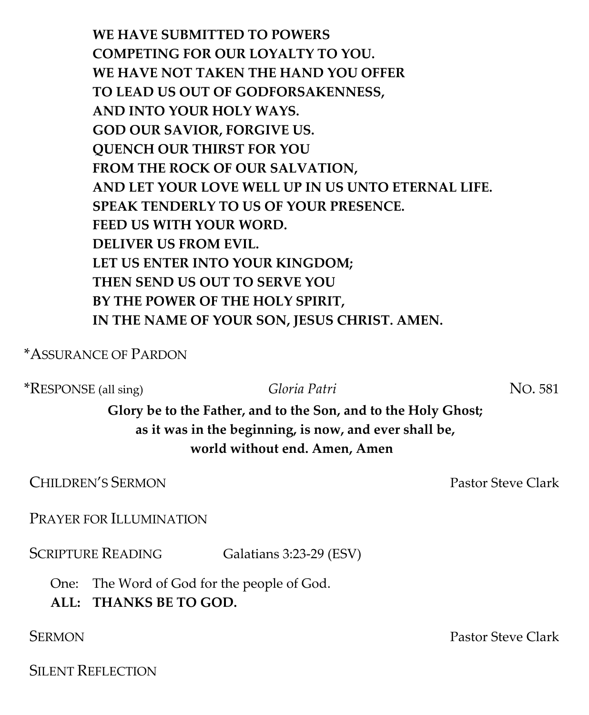**WE HAVE SUBMITTED TO POWERS COMPETING FOR OUR LOYALTY TO YOU. WE HAVE NOT TAKEN THE HAND YOU OFFER TO LEAD US OUT OF GODFORSAKENNESS, AND INTO YOUR HOLY WAYS. GOD OUR SAVIOR, FORGIVE US. QUENCH OUR THIRST FOR YOU FROM THE ROCK OF OUR SALVATION, AND LET YOUR LOVE WELL UP IN US UNTO ETERNAL LIFE. SPEAK TENDERLY TO US OF YOUR PRESENCE. FEED US WITH YOUR WORD. DELIVER US FROM EVIL. LET US ENTER INTO YOUR KINGDOM; THEN SEND US OUT TO SERVE YOU BY THE POWER OF THE HOLY SPIRIT, IN THE NAME OF YOUR SON, JESUS CHRIST. AMEN.**

\*ASSURANCE OF PARDON

\*RESPONSE (all sing) *Gloria Patri* NO. 581

**Glory be to the Father, and to the Son, and to the Holy Ghost; as it was in the beginning, is now, and ever shall be, world without end. Amen, Amen**

**CHILDREN'S SERMON CHILDREN'S SERMON** 

PRAYER FOR ILLUMINATION

SCRIPTURE READING Galatians 3:23-29 (ESV)

One: The Word of God for the people of God.

**ALL: THANKS BE TO GOD.**

SILENT REFLECTION

SERMON Pastor Steve Clark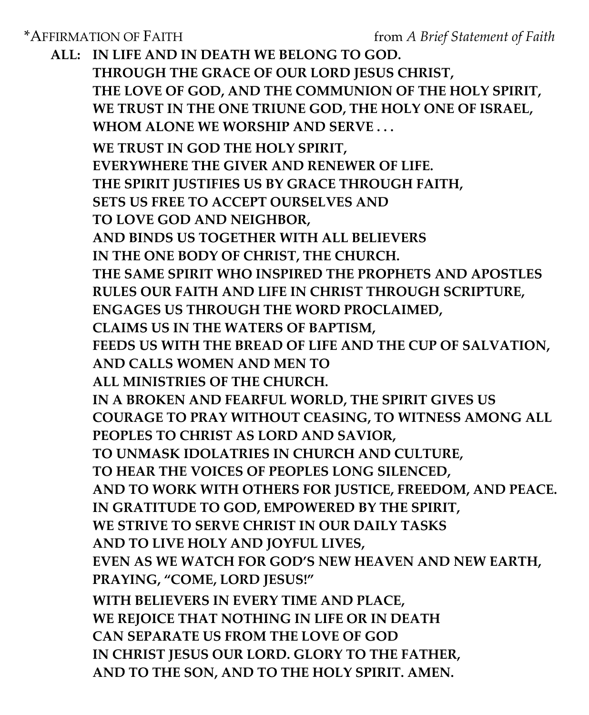**ALL: IN LIFE AND IN DEATH WE BELONG TO GOD. THROUGH THE GRACE OF OUR LORD JESUS CHRIST, THE LOVE OF GOD, AND THE COMMUNION OF THE HOLY SPIRIT, WE TRUST IN THE ONE TRIUNE GOD, THE HOLY ONE OF ISRAEL, WHOM ALONE WE WORSHIP AND SERVE . . . WE TRUST IN GOD THE HOLY SPIRIT, EVERYWHERE THE GIVER AND RENEWER OF LIFE. THE SPIRIT JUSTIFIES US BY GRACE THROUGH FAITH, SETS US FREE TO ACCEPT OURSELVES AND TO LOVE GOD AND NEIGHBOR, AND BINDS US TOGETHER WITH ALL BELIEVERS IN THE ONE BODY OF CHRIST, THE CHURCH. THE SAME SPIRIT WHO INSPIRED THE PROPHETS AND APOSTLES RULES OUR FAITH AND LIFE IN CHRIST THROUGH SCRIPTURE, ENGAGES US THROUGH THE WORD PROCLAIMED, CLAIMS US IN THE WATERS OF BAPTISM, FEEDS US WITH THE BREAD OF LIFE AND THE CUP OF SALVATION, AND CALLS WOMEN AND MEN TO ALL MINISTRIES OF THE CHURCH. IN A BROKEN AND FEARFUL WORLD, THE SPIRIT GIVES US COURAGE TO PRAY WITHOUT CEASING, TO WITNESS AMONG ALL PEOPLES TO CHRIST AS LORD AND SAVIOR, TO UNMASK IDOLATRIES IN CHURCH AND CULTURE, TO HEAR THE VOICES OF PEOPLES LONG SILENCED, AND TO WORK WITH OTHERS FOR JUSTICE, FREEDOM, AND PEACE. IN GRATITUDE TO GOD, EMPOWERED BY THE SPIRIT, WE STRIVE TO SERVE CHRIST IN OUR DAILY TASKS AND TO LIVE HOLY AND JOYFUL LIVES, EVEN AS WE WATCH FOR GOD'S NEW HEAVEN AND NEW EARTH, PRAYING, "COME, LORD JESUS!" WITH BELIEVERS IN EVERY TIME AND PLACE, WE REJOICE THAT NOTHING IN LIFE OR IN DEATH CAN SEPARATE US FROM THE LOVE OF GOD IN CHRIST JESUS OUR LORD. GLORY TO THE FATHER,** 

**AND TO THE SON, AND TO THE HOLY SPIRIT. AMEN.**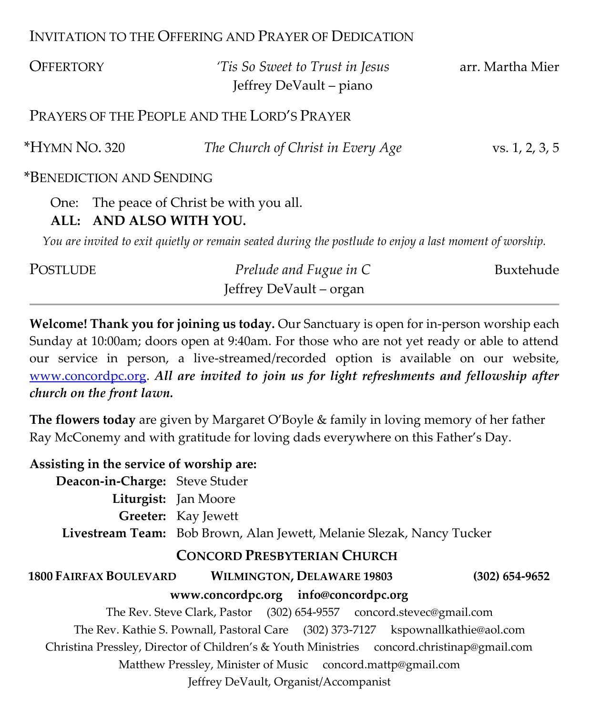### INVITATION TO THE OFFERING AND PRAYER OF DEDICATION

| <b>OFFERTORY</b>                                                                                        | 'Tis So Sweet to Trust in Jesus<br>Jeffrey DeVault – piano | arr. Martha Mier |  |  |  |  |  |
|---------------------------------------------------------------------------------------------------------|------------------------------------------------------------|------------------|--|--|--|--|--|
| PRAYERS OF THE PEOPLE AND THE LORD'S PRAYER                                                             |                                                            |                  |  |  |  |  |  |
| *HYMN NO. 320                                                                                           | The Church of Christ in Every Age                          | vs. 1, 2, 3, 5   |  |  |  |  |  |
| *BENEDICTION AND SENDING                                                                                |                                                            |                  |  |  |  |  |  |
| The peace of Christ be with you all.<br>One:<br>ALL: AND ALSO WITH YOU.                                 |                                                            |                  |  |  |  |  |  |
| You are invited to exit quietly or remain seated during the postlude to enjoy a last moment of worship. |                                                            |                  |  |  |  |  |  |
| POSTLUDE                                                                                                | Prelude and Fugue in C                                     | Buxtehude        |  |  |  |  |  |

**Welcome! Thank you for joining us today.** Our Sanctuary is open for in-person worship each Sunday at 10:00am; doors open at 9:40am. For those who are not yet ready or able to attend our service in person, a live-streamed/recorded option is available on our website, [www.concordpc.org.](http://www.concordpc.org/) *All are invited to join us for light refreshments and fellowship after church on the front lawn.*

Jeffrey DeVault – organ

**The flowers today** are given by Margaret O'Boyle & family in loving memory of her father Ray McConemy and with gratitude for loving dads everywhere on this Father's Day.

| Assisting in the service of worship are:                                                   |                                                                       |                                   |  |                  |  |  |  |
|--------------------------------------------------------------------------------------------|-----------------------------------------------------------------------|-----------------------------------|--|------------------|--|--|--|
| Deacon-in-Charge: Steve Studer                                                             |                                                                       |                                   |  |                  |  |  |  |
|                                                                                            | Liturgist: Jan Moore                                                  |                                   |  |                  |  |  |  |
|                                                                                            | <b>Greeter:</b> Kay Jewett                                            |                                   |  |                  |  |  |  |
|                                                                                            | Livestream Team: Bob Brown, Alan Jewett, Melanie Slezak, Nancy Tucker |                                   |  |                  |  |  |  |
| <b>CONCORD PRESBYTERIAN CHURCH</b>                                                         |                                                                       |                                   |  |                  |  |  |  |
| <b>1800 FAIRFAX BOULEVARD</b>                                                              |                                                                       | <b>WILMINGTON, DELAWARE 19803</b> |  | $(302)$ 654-9652 |  |  |  |
| www.concordpc.org info@concordpc.org                                                       |                                                                       |                                   |  |                  |  |  |  |
| The Rev. Steve Clark, Pastor (302) 654-9557 concord.stevec@gmail.com                       |                                                                       |                                   |  |                  |  |  |  |
| The Rev. Kathie S. Pownall, Pastoral Care (302) 373-7127 kspownallkathie@aol.com           |                                                                       |                                   |  |                  |  |  |  |
| Christina Pressley, Director of Children's & Youth Ministries concord.christinap@gmail.com |                                                                       |                                   |  |                  |  |  |  |
| Matthew Pressley, Minister of Music concord.mattp@gmail.com                                |                                                                       |                                   |  |                  |  |  |  |
| Jeffrey DeVault, Organist/Accompanist                                                      |                                                                       |                                   |  |                  |  |  |  |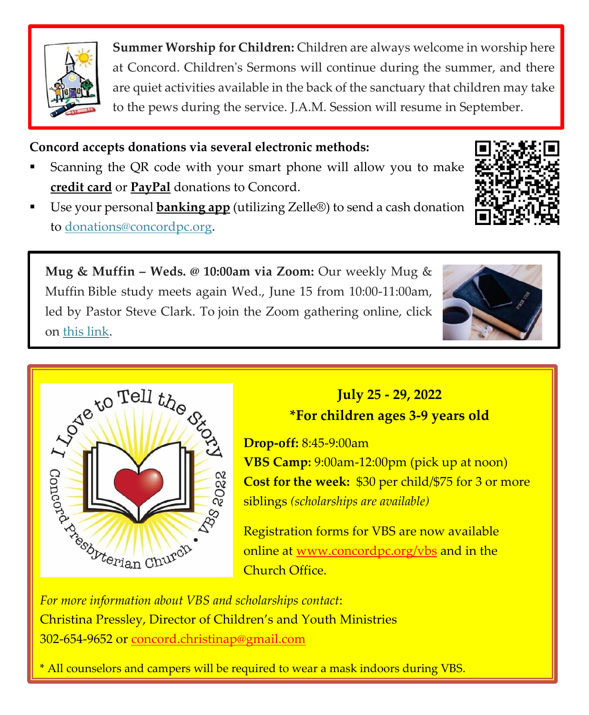

**Summer Worship for Children:** Children are always welcome in worship here at Concord. Children's Sermons will continue during the summer, and there are quiet activities available in the back of the sanctuary that children may take to the pews during the service. J.A.M. Session will resume in September.

# **Concord accepts donations via several electronic methods:**

- Scanning the QR code with your smart phone will allow you to make **credit card** or **PayPal** donations to Concord.
- Use your personal **banking app** (utilizing Zelle®) to send a cash donation to [donations@concordpc.org.](mailto:donations@concordpc.org)

**Mug & Muffin – Weds. @ 10:00am via Zoom:** Our weekly Mug & Muffin Bible study meets again Wed., June 15 from 10:00-11:00am, led by Pastor Steve Clark. To join the Zoom gathering online, click on [this link.](https://us02web.zoom.us/j/8797805150?pwd=YU1Fc3laN0FXc3VYMXRFVnJoWTBHdz09)





# **July 25 - 29, 2022 \*For children ages 3-9 years old**

**Drop-off:** 8:45-9:00am

**VBS Camp:** 9:00am-12:00pm (pick up at noon) **Cost for the week:** \$30 per child/\$75 for 3 or more siblings *(scholarships are available)*

Registration forms for VBS are now available online at [www.concordpc.org/vbs](https://concordpc.org/vbs/) and in the Church Office.

Christina Pressley, Director of Children's and Youth Ministries 302-654-9652 or [concord.christinap@gmail.com](mailto:concord.christinap@gmail.com)

\* All counselors and campers will be required to wear a mask indoors during VBS.